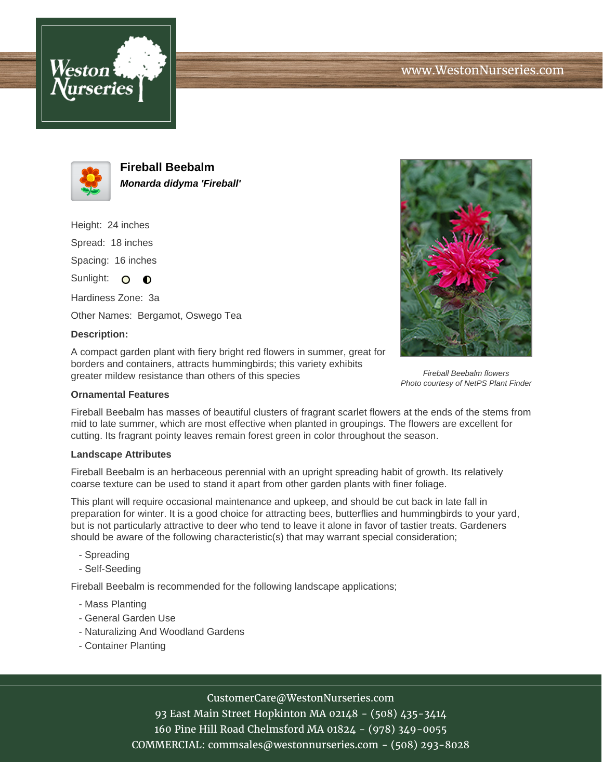



**Fireball Beebalm Monarda didyma 'Fireball'**

Height: 24 inches Spread: 18 inches Spacing: 16 inches

Sunlight:  $\Omega$  $\bullet$ Hardiness Zone: 3a

Other Names: Bergamot, Oswego Tea

### **Description:**

A compact garden plant with fiery bright red flowers in summer, great for borders and containers, attracts hummingbirds; this variety exhibits greater mildew resistance than others of this species

### **Ornamental Features**

Fireball Beebalm has masses of beautiful clusters of fragrant scarlet flowers at the ends of the stems from mid to late summer, which are most effective when planted in groupings. The flowers are excellent for cutting. Its fragrant pointy leaves remain forest green in color throughout the season.

#### **Landscape Attributes**

Fireball Beebalm is an herbaceous perennial with an upright spreading habit of growth. Its relatively coarse texture can be used to stand it apart from other garden plants with finer foliage.

This plant will require occasional maintenance and upkeep, and should be cut back in late fall in preparation for winter. It is a good choice for attracting bees, butterflies and hummingbirds to your yard, but is not particularly attractive to deer who tend to leave it alone in favor of tastier treats. Gardeners should be aware of the following characteristic(s) that may warrant special consideration;

- Spreading
- Self-Seeding

Fireball Beebalm is recommended for the following landscape applications;

- Mass Planting
- General Garden Use
- Naturalizing And Woodland Gardens
- Container Planting

# CustomerCare@WestonNurseries.com

93 East Main Street Hopkinton MA 02148 - (508) 435-3414 160 Pine Hill Road Chelmsford MA 01824 - (978) 349-0055 COMMERCIAL: commsales@westonnurseries.com - (508) 293-8028



Fireball Beebalm flowers Photo courtesy of NetPS Plant Finder